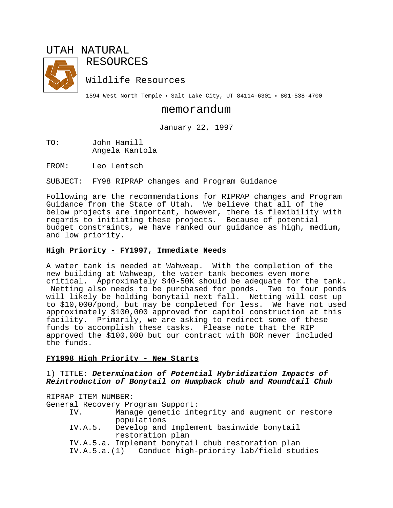# UTAH NATURAL



RESOURCES

Wildlife Resources

1594 West North Temple . Salt Lake City, UT 84114-6301 . 801-538-4700

## memorandum

January 22, 1997

TO: John Hamill Angela Kantola

FROM: Leo Lentsch

SUBJECT: FY98 RIPRAP changes and Program Guidance

Following are the recommendations for RIPRAP changes and Program Guidance from the State of Utah. We believe that all of the below projects are important, however, there is flexibility with regards to initiating these projects. Because of potential budget constraints, we have ranked our guidance as high, medium, and low priority.

## **High Priority - FY1997, Immediate Needs**

A water tank is needed at Wahweap. With the completion of the new building at Wahweap, the water tank becomes even more critical. Approximately \$40-50K should be adequate for the tank. Netting also needs to be purchased for ponds. Two to four ponds will likely be holding bonytail next fall. Netting will cost up to \$10,000/pond, but may be completed for less. We have not used approximately \$100,000 approved for capitol construction at this facility. Primarily, we are asking to redirect some of these funds to accomplish these tasks. Please note that the RIP approved the \$100,000 but our contract with BOR never included the funds.

## **FY1998 High Priority - New Starts**

## 1) TITLE: *Determination of Potential Hybridization Impacts of Reintroduction of Bonytail on Humpback chub and Roundtail Chub*

RIPRAP ITEM NUMBER:

General Recovery Program Support:

- IV. Manage genetic integrity and augment or restore populations
- IV.A.5. Develop and Implement basinwide bonytail restoration plan

IV.A.5.a. Implement bonytail chub restoration plan

IV.A.5.a.(1) Conduct high-priority lab/field studies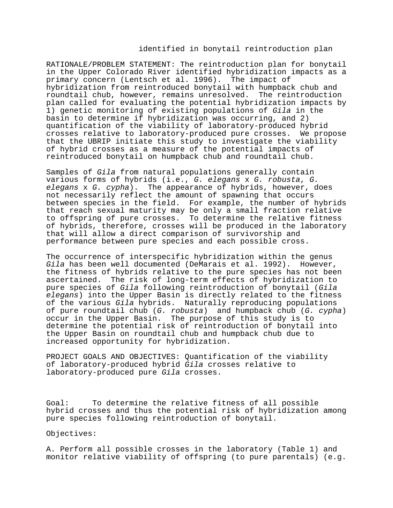#### identified in bonytail reintroduction plan

RATIONALE/PROBLEM STATEMENT: The reintroduction plan for bonytail in the Upper Colorado River identified hybridization impacts as a primary concern (Lentsch et al. 1996). The impact of hybridization from reintroduced bonytail with humpback chub and roundtail chub, however, remains unresolved. The reintroduction plan called for evaluating the potential hybridization impacts by 1) genetic monitoring of existing populations of *Gila* in the basin to determine if hybridization was occurring, and 2) quantification of the viability of laboratory-produced hybrid crosses relative to laboratory-produced pure crosses. We propose that the UBRIP initiate this study to investigate the viability of hybrid crosses as a measure of the potential impacts of reintroduced bonytail on humpback chub and roundtail chub.

Samples of *Gila* from natural populations generally contain various forms of hybrids (i.e., *G. elegans* x *G. robusta*, *G. elegans* x *G. cypha*). The appearance of hybrids, however, does not necessarily reflect the amount of spawning that occurs between species in the field. For example, the number of hybrids that reach sexual maturity may be only a small fraction relative to offspring of pure crosses. To determine the relative fitness of hybrids, therefore, crosses will be produced in the laboratory that will allow a direct comparison of survivorship and performance between pure species and each possible cross.

The occurrence of interspecific hybridization within the genus *Gila* has been well documented (DeMarais et al. 1992). However, the fitness of hybrids relative to the pure species has not been ascertained. The risk of long-term effects of hybridization to pure species of *Gila* following reintroduction of bonytail (*Gila elegans*) into the Upper Basin is directly related to the fitness of the various *Gila* hybrids. Naturally reproducing populations of pure roundtail chub (*G. robusta*) and humpback chub (*G. cypha*) occur in the Upper Basin. The purpose of this study is to determine the potential risk of reintroduction of bonytail into the Upper Basin on roundtail chub and humpback chub due to increased opportunity for hybridization.

PROJECT GOALS AND OBJECTIVES: Quantification of the viability of laboratory-produced hybrid *Gila* crosses relative to laboratory-produced pure *Gila* crosses.

Goal: To determine the relative fitness of all possible hybrid crosses and thus the potential risk of hybridization among pure species following reintroduction of bonytail.

Objectives:

A. Perform all possible crosses in the laboratory (Table 1) and monitor relative viability of offspring (to pure parentals) (e.g.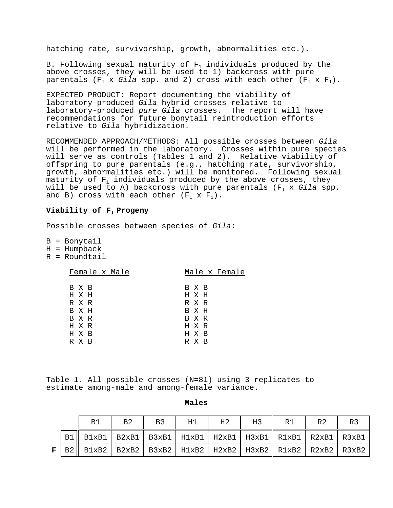hatching rate, survivorship, growth, abnormalities etc.).

B. Following sexual maturity of  $F_1$  individuals produced by the above crosses, they will be used to 1) backcross with pure parentals  $(F_1 \times Gila$  spp. and 2) cross with each other  $(F_1 \times F_1)$ .

EXPECTED PRODUCT: Report documenting the viability of laboratory-produced *Gila* hybrid crosses relative to laboratory-produced *pure Gila* crosses. The report will have recommendations for future bonytail reintroduction efforts relative to *Gila* hybridization.

RECOMMENDED APPROACH/METHODS: All possible crosses between *Gila* will be performed in the laboratory. Crosses within pure species will serve as controls (Tables 1 and 2). Relative viability of offspring to pure parentals (e.g., hatching rate, survivorship, growth, abnormalities etc.) will be monitored. Following sexual maturity of  $F_1$  individuals produced by the above crosses, they will be used to A) backcross with pure parentals (F1 x *Gila* spp. and B) cross with each other  $(F_1 \times F_1)$ .

## **Viability of F<sub>1</sub> Progeny**

Possible crosses between species of *Gila*:

B = Bonytail  $H = Humpback$ 

R = Roundtail

| Female x Male | Male x Female |
|---------------|---------------|
| B X B         | B X B         |
| H X H         | H X H         |
| R X R         | R X R         |
| B X H         | B X H         |
| B X R         | B X R         |
| H X R         | H X R         |
| H X B         | H X B         |
| R X B         | R X B         |

Table 1. All possible crosses (N=81) using 3 replicates to estimate among-male and among-female variance.

|   | B1                                                                          | <b>B3</b><br>B2<br>H1 |  | H <sub>2</sub> | H3 | R1 | R2 | R3 |  |
|---|-----------------------------------------------------------------------------|-----------------------|--|----------------|----|----|----|----|--|
|   | B1    B1xB1   B2xB1   B3xB1   H1xB1   H2xB1   H3xB1   R1xB1   R2xB1   R3xB1 |                       |  |                |    |    |    |    |  |
| F | B2    B1xB2   B2xB2   B3xB2   H1xB2   H2xB2   H3xB2   R2xB2   R3xB2   R3xB2 |                       |  |                |    |    |    |    |  |

#### **Males**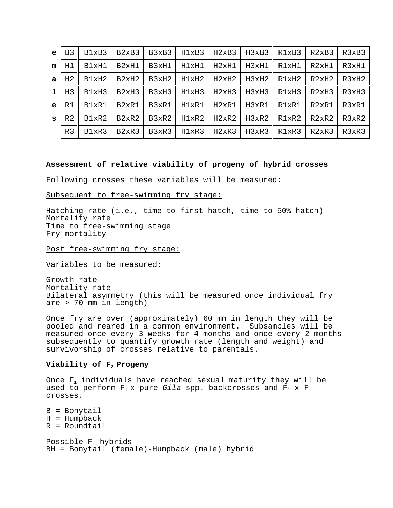| $\mathbf{e}$ | B <sub>3</sub> | B1xB3 | B <sub>2</sub> x <sub>B</sub> 3 | B3xB3 | H1xB3 | H2xB3 | H3xB3 | R1xB3 | R2xB3 | R3xB3 |
|--------------|----------------|-------|---------------------------------|-------|-------|-------|-------|-------|-------|-------|
| m            | H1             | B1xH1 | B2xH1                           | B3xH1 | H1xH1 | H2xH1 | H3xH1 | R1xH1 | R2xH1 | R3xH1 |
| a            | H <sub>2</sub> | B1xH2 | B2xH2                           | B3xH2 | H1xH2 | H2xH2 | H3xH2 | R1xH2 | R2xH2 | R3xH2 |
| $\mathbf{1}$ | H <sub>3</sub> | B1xH3 | B <sub>2</sub> xH <sub>3</sub>  | B3xH3 | H1xH3 | H2xH3 | H3xH3 | R1xH3 | R2xH3 | R3xH3 |
| $\mathbf{e}$ | R1             | B1xR1 | B2xR1                           | B3xR1 | H1xR1 | H2xR1 | H3xR1 | R1xR1 | R2xR1 | R3xR1 |
| S            | R <sub>2</sub> | B1xR2 | B <sub>2</sub> xR <sub>2</sub>  | B3xR2 | H1xR2 | H2xR2 | H3xR2 | R1xR2 | R2xR2 | R3xR2 |
|              | R <sub>3</sub> | B1xR3 | B <sub>2</sub> xR <sub>3</sub>  | B3xR3 | H1xR3 | H2xR3 | H3xR3 | R1xR3 | R2xR3 | R3xR3 |

#### **Assessment of relative viability of progeny of hybrid crosses**

Following crosses these variables will be measured:

Subsequent to free-swimming fry stage:

Hatching rate (i.e., time to first hatch, time to 50% hatch) Mortality rate Time to free-swimming stage Fry mortality

Post free-swimming fry stage:

Variables to be measured:

Growth rate Mortality rate Bilateral asymmetry (this will be measured once individual fry are > 70 mm in length)

Once fry are over (approximately) 60 mm in length they will be pooled and reared in a common environment. Subsamples will be measured once every 3 weeks for 4 months and once every 2 months subsequently to quantify growth rate (length and weight) and survivorship of crosses relative to parentals.

#### **Viability of F<sub>2</sub> Progeny**

Once  $F_1$  individuals have reached sexual maturity they will be used to perform  $F_1$  x pure *Gila* spp. backcrosses and  $F_1$  x  $F_1$ crosses.

B = Bonytail  $H = Humpback$  $R =$  Roundtail Possible  $F_1$  hybrids

BH = Bonytail (female)-Humpback (male) hybrid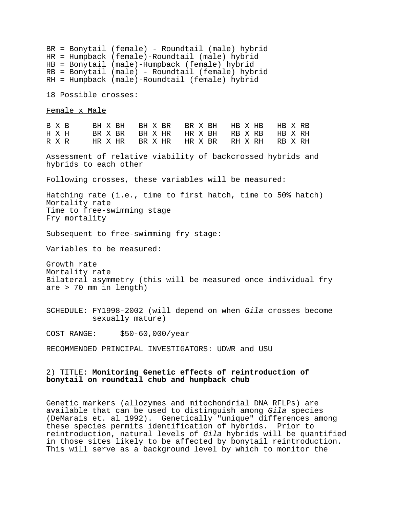BR = Bonytail (female) - Roundtail (male) hybrid HR = Humpback (female)-Roundtail (male) hybrid HB = Bonytail (male)-Humpback (female) hybrid RB = Bonytail (male) - Roundtail (female) hybrid RH = Humpback (male)-Roundtail (female) hybrid

18 Possible crosses:

Female x Male

|  | B X B BH X BH BH X BR BR X BH HB X HB HB X RB |  |  |  |  |  |  |  |  |
|--|-----------------------------------------------|--|--|--|--|--|--|--|--|
|  | H X H BR X BR BH X HR HR X BH RB X RB HB X RH |  |  |  |  |  |  |  |  |
|  | RXR HRXHR BRXHR HRXBR RHXRH RBXRH             |  |  |  |  |  |  |  |  |

Assessment of relative viability of backcrossed hybrids and hybrids to each other

Following crosses, these variables will be measured:

Hatching rate (i.e., time to first hatch, time to 50% hatch) Mortality rate Time to free-swimming stage Fry mortality

Subsequent to free-swimming fry stage:

Variables to be measured:

Growth rate Mortality rate Bilateral asymmetry (this will be measured once individual fry are > 70 mm in length)

SCHEDULE: FY1998-2002 (will depend on when *Gila* crosses become sexually mature)

COST RANGE: \$50-60,000/year

RECOMMENDED PRINCIPAL INVESTIGATORS: UDWR and USU

### 2) TITLE: **Monitoring Genetic effects of reintroduction of bonytail on roundtail chub and humpback chub**

Genetic markers (allozymes and mitochondrial DNA RFLPs) are available that can be used to distinguish among *Gila* species (DeMarais et. al 1992). Genetically "unique" differences among these species permits identification of hybrids. Prior to reintroduction, natural levels of *Gila* hybrids will be quantified in those sites likely to be affected by bonytail reintroduction. This will serve as a background level by which to monitor the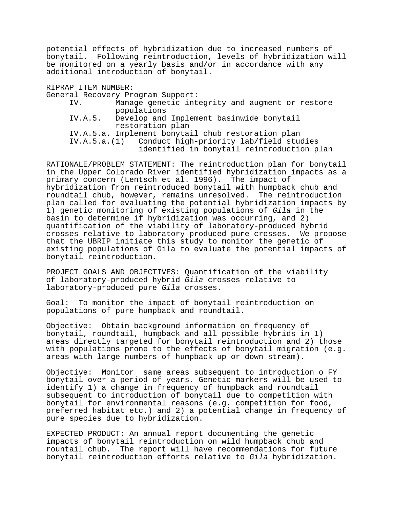potential effects of hybridization due to increased numbers of bonytail. Following reintroduction, levels of hybridization will be monitored on a yearly basis and/or in accordance with any additional introduction of bonytail.

RIPRAP ITEM NUMBER:

General Recovery Program Support:

| IV.     | Manage genetic integrity and augment or restore      |
|---------|------------------------------------------------------|
|         | populations                                          |
| IV.A.5. | Develop and Implement basinwide bonytail             |
|         | restoration plan                                     |
|         | IV.A.5.a. Implement bonytail chub restoration plan   |
|         | IV.A.5.a.(1) Conduct high-priority lab/field studies |
|         | identified in bonytail reintroduction plan           |

RATIONALE/PROBLEM STATEMENT: The reintroduction plan for bonytail in the Upper Colorado River identified hybridization impacts as a primary concern (Lentsch et al. 1996). The impact of hybridization from reintroduced bonytail with humpback chub and roundtail chub, however, remains unresolved. The reintroduction plan called for evaluating the potential hybridization impacts by 1) genetic monitoring of existing populations of *Gila* in the basin to determine if hybridization was occurring, and 2) quantification of the viability of laboratory-produced hybrid crosses relative to laboratory-produced pure crosses. We propose that the UBRIP initiate this study to monitor the genetic of existing populations of Gila to evaluate the potential impacts of bonytail reintroduction.

PROJECT GOALS AND OBJECTIVES: Quantification of the viability of laboratory-produced hybrid *Gila* crosses relative to laboratory-produced pure *Gila* crosses.

Goal: To monitor the impact of bonytail reintroduction on populations of pure humpback and roundtail.

Objective: Obtain background information on frequency of bonytail, roundtail, humpback and all possible hybrids in 1) areas directly targeted for bonytail reintroduction and 2) those with populations prone to the effects of bonytail migration (e.g. areas with large numbers of humpback up or down stream).

Objective: Monitor same areas subsequent to introduction o FY bonytail over a period of years. Genetic markers will be used to identify 1) a change in frequency of humpback and roundtail subsequent to introduction of bonytail due to competition with bonytail for environmental reasons (e.g. competition for food, preferred habitat etc.) and 2) a potential change in frequency of pure species due to hybridization.

EXPECTED PRODUCT: An annual report documenting the genetic impacts of bonytail reintroduction on wild humpback chub and rountail chub. The report will have recommendations for future bonytail reintroduction efforts relative to *Gila* hybridization.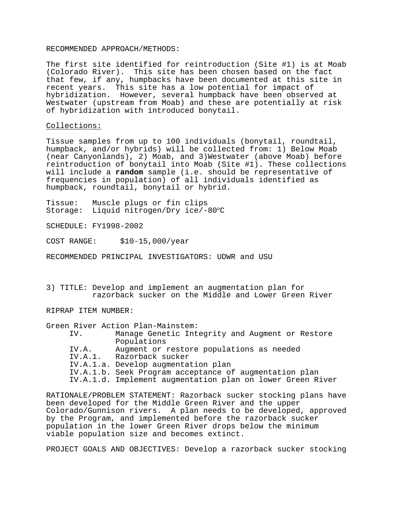#### RECOMMENDED APPROACH/METHODS:

The first site identified for reintroduction (Site #1) is at Moab (Colorado River). This site has been chosen based on the fact that few, if any, humpbacks have been documented at this site in recent years. This site has a low potential for impact of hybridization. However, several humpback have been observed at Westwater (upstream from Moab) and these are potentially at risk of hybridization with introduced bonytail.

#### Collections:

Tissue samples from up to 100 individuals (bonytail, roundtail, humpback, and/or hybrids) will be collected from: 1) Below Moab (near Canyonlands), 2) Moab, and 3)Westwater (above Moab) before reintroduction of bonytail into Moab (Site #1). These collections will include a **random** sample (i.e. should be representative of frequencies in population) of all individuals identified as humpback, roundtail, bonytail or hybrid.

Tissue: Muscle plugs or fin clips<br>Storage: Liquid nitrogen/Dry ice/-Storage: Liquid nitrogen/Dry ice/-80°C

SCHEDULE: FY1998-2002

COST RANGE: \$10-15,000/year

RECOMMENDED PRINCIPAL INVESTIGATORS: UDWR and USU

3) TITLE: Develop and implement an augmentation plan for razorback sucker on the Middle and Lower Green River

RIPRAP ITEM NUMBER:

Green River Action Plan-Mainstem:

| IV.     | Manage Genetic Integrity and Augment or Restore            |
|---------|------------------------------------------------------------|
|         | Populations                                                |
| IV.A.   | Augment or restore populations as needed                   |
| IV.A.1. | Razorback sucker                                           |
|         | IV.A.1.a. Develop augmentation plan                        |
|         | IV.A.1.b. Seek Program acceptance of augmentation plan     |
|         | IV.A.1.d. Implement augmentation plan on lower Green River |
|         |                                                            |

RATIONALE/PROBLEM STATEMENT: Razorback sucker stocking plans have been developed for the Middle Green River and the upper Colorado/Gunnison rivers. A plan needs to be developed, approved by the Program, and implemented before the razorback sucker population in the lower Green River drops below the minimum viable population size and becomes extinct.

PROJECT GOALS AND OBJECTIVES: Develop a razorback sucker stocking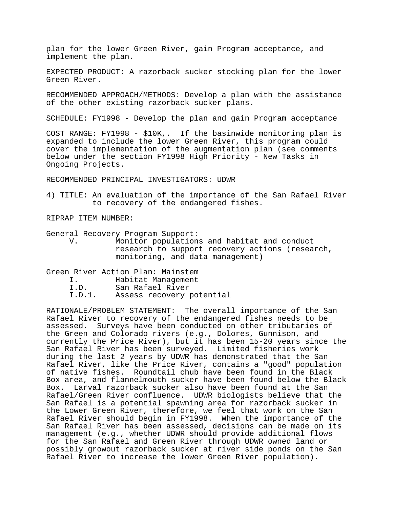plan for the lower Green River, gain Program acceptance, and implement the plan.

EXPECTED PRODUCT: A razorback sucker stocking plan for the lower Green River.

RECOMMENDED APPROACH/METHODS: Develop a plan with the assistance of the other existing razorback sucker plans.

SCHEDULE: FY1998 - Develop the plan and gain Program acceptance

COST RANGE: FY1998 - \$10K,. If the basinwide monitoring plan is expanded to include the lower Green River, this program could cover the implementation of the augmentation plan (see comments below under the section FY1998 High Priority - New Tasks in Ongoing Projects.

RECOMMENDED PRINCIPAL INVESTIGATORS: UDWR

4) TITLE: An evaluation of the importance of the San Rafael River to recovery of the endangered fishes.

RIPRAP ITEM NUMBER:

General Recovery Program Support:

V. Monitor populations and habitat and conduct research to support recovery actions (research, monitoring, and data management)

Green River Action Plan: Mainstem

- I. Habitat Management
- I.D. San Rafael River
- I.D.1. Assess recovery potential

RATIONALE/PROBLEM STATEMENT: The overall importance of the San Rafael River to recovery of the endangered fishes needs to be assessed. Surveys have been conducted on other tributaries of the Green and Colorado rivers (e.g., Dolores, Gunnison, and currently the Price River), but it has been 15-20 years since the San Rafael River has been surveyed. Limited fisheries work during the last 2 years by UDWR has demonstrated that the San Rafael River, like the Price River, contains a "good" population of native fishes. Roundtail chub have been found in the Black Box area, and flannelmouth sucker have been found below the Black Box. Larval razorback sucker also have been found at the San Rafael/Green River confluence. UDWR biologists believe that the San Rafael is a potential spawning area for razorback sucker in the Lower Green River, therefore, we feel that work on the San Rafael River should begin in FY1998. When the importance of the San Rafael River has been assessed, decisions can be made on its management (e.g., whether UDWR should provide additional flows for the San Rafael and Green River through UDWR owned land or possibly growout razorback sucker at river side ponds on the San Rafael River to increase the lower Green River population).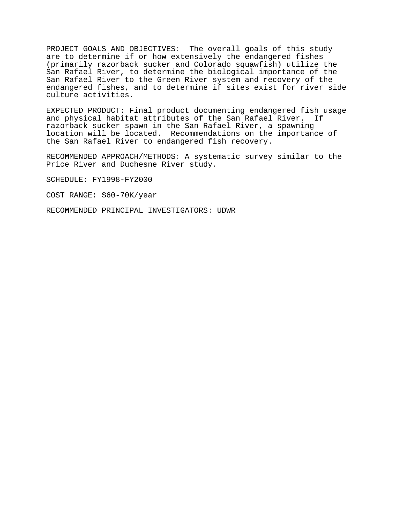PROJECT GOALS AND OBJECTIVES: The overall goals of this study are to determine if or how extensively the endangered fishes (primarily razorback sucker and Colorado squawfish) utilize the San Rafael River, to determine the biological importance of the San Rafael River to the Green River system and recovery of the endangered fishes, and to determine if sites exist for river side culture activities.

EXPECTED PRODUCT: Final product documenting endangered fish usage and physical habitat attributes of the San Rafael River. If razorback sucker spawn in the San Rafael River, a spawning location will be located. Recommendations on the importance of the San Rafael River to endangered fish recovery.

RECOMMENDED APPROACH/METHODS: A systematic survey similar to the Price River and Duchesne River study.

SCHEDULE: FY1998-FY2000

COST RANGE: \$60-70K/year

RECOMMENDED PRINCIPAL INVESTIGATORS: UDWR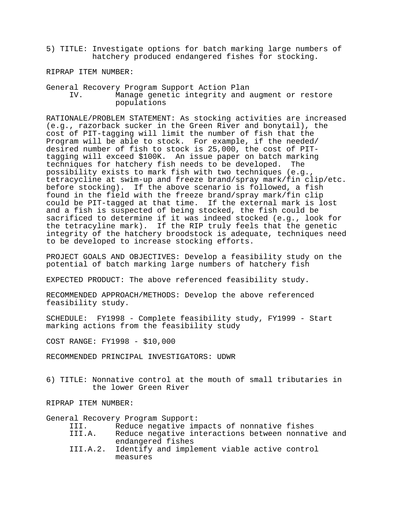- 5) TITLE: Investigate options for batch marking large numbers of hatchery produced endangered fishes for stocking.
- RIPRAP ITEM NUMBER:

General Recovery Program Support Action Plan IV. Manage genetic integrity and augment or restore populations

RATIONALE/PROBLEM STATEMENT: As stocking activities are increased (e.g., razorback sucker in the Green River and bonytail), the cost of PIT-tagging will limit the number of fish that the Program will be able to stock. For example, if the needed/ desired number of fish to stock is 25,000, the cost of PITtagging will exceed \$100K. An issue paper on batch marking techniques for hatchery fish needs to be developed. The possibility exists to mark fish with two techniques (e.g., tetracycline at swim-up and freeze brand/spray mark/fin clip/etc. before stocking). If the above scenario is followed, a fish found in the field with the freeze brand/spray mark/fin clip could be PIT-tagged at that time. If the external mark is lost and a fish is suspected of being stocked, the fish could be sacrificed to determine if it was indeed stocked (e.g., look for the tetracyline mark). If the RIP truly feels that the genetic integrity of the hatchery broodstock is adequate, techniques need to be developed to increase stocking efforts.

PROJECT GOALS AND OBJECTIVES: Develop a feasibility study on the potential of batch marking large numbers of hatchery fish

EXPECTED PRODUCT: The above referenced feasibility study.

RECOMMENDED APPROACH/METHODS: Develop the above referenced feasibility study.

SCHEDULE: FY1998 - Complete feasibility study, FY1999 - Start marking actions from the feasibility study

COST RANGE: FY1998 - \$10,000

RECOMMENDED PRINCIPAL INVESTIGATORS: UDWR

6) TITLE: Nonnative control at the mouth of small tributaries in the lower Green River

RIPRAP ITEM NUMBER:

General Recovery Program Support:

| III.   | Reduce negative impacts of nonnative fishes           |
|--------|-------------------------------------------------------|
| III.A. | Reduce negative interactions between nonnative and    |
|        | endangered fishes                                     |
|        | III.A.2. Identify and implement viable active control |
|        | measures                                              |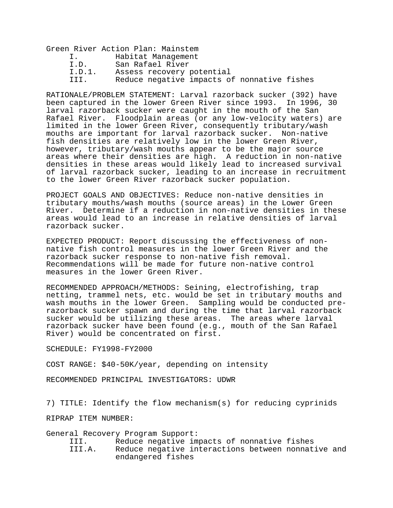Green River Action Plan: Mainstem I. Habitat Management I.D. San Rafael River I.D.1. Assess recovery potential III. Reduce negative impacts of nonnative fishes

RATIONALE/PROBLEM STATEMENT: Larval razorback sucker (392) have been captured in the lower Green River since 1993. In 1996, 30 larval razorback sucker were caught in the mouth of the San Rafael River. Floodplain areas (or any low-velocity waters) are limited in the lower Green River, consequently tributary/wash mouths are important for larval razorback sucker. Non-native fish densities are relatively low in the lower Green River, however, tributary/wash mouths appear to be the major source areas where their densities are high. A reduction in non-native densities in these areas would likely lead to increased survival of larval razorback sucker, leading to an increase in recruitment to the lower Green River razorback sucker population.

PROJECT GOALS AND OBJECTIVES: Reduce non-native densities in tributary mouths/wash mouths (source areas) in the Lower Green River. Determine if a reduction in non-native densities in these areas would lead to an increase in relative densities of larval razorback sucker.

EXPECTED PRODUCT: Report discussing the effectiveness of nonnative fish control measures in the lower Green River and the razorback sucker response to non-native fish removal. Recommendations will be made for future non-native control measures in the lower Green River.

RECOMMENDED APPROACH/METHODS: Seining, electrofishing, trap netting, trammel nets, etc. would be set in tributary mouths and wash mouths in the lower Green. Sampling would be conducted prerazorback sucker spawn and during the time that larval razorback sucker would be utilizing these areas. The areas where larval razorback sucker have been found (e.g., mouth of the San Rafael River) would be concentrated on first.

SCHEDULE: FY1998-FY2000

COST RANGE: \$40-50K/year, depending on intensity

RECOMMENDED PRINCIPAL INVESTIGATORS: UDWR

7) TITLE: Identify the flow mechanism(s) for reducing cyprinids

RIPRAP ITEM NUMBER:

General Recovery Program Support:

III. Reduce negative impacts of nonnative fishes

III.A. Reduce negative interactions between nonnative and endangered fishes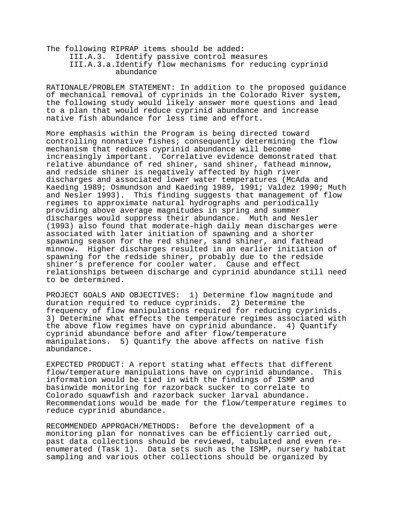The following RIPRAP items should be added: III.A.3. Identify passive control measures III.A.3.a.Identify flow mechanisms for reducing cyprinid abundance

RATIONALE/PROBLEM STATEMENT: In addition to the proposed guidance of mechanical removal of cyprinids in the Colorado River system, the following study would likely answer more questions and lead to a plan that would reduce cyprinid abundance and increase native fish abundance for less time and effort.

More emphasis within the Program is being directed toward controlling nonnative fishes; consequently determining the flow mechanism that reduces cyprinid abundance will become increasingly important. Correlative evidence demonstrated that relative abundance of red shiner, sand shiner, fathead minnow, and redside shiner is negatively affected by high river discharges and associated lower water temperatures (McAda and Kaeding 1989; Osmundson and Kaeding 1989, 1991; Valdez 1990; Muth and Nesler 1993). This finding suggests that management of flow regimes to approximate natural hydrographs and periodically providing above average magnitudes in spring and summer discharges would suppress their abundance. Muth and Nesler (1993) also found that moderate-high daily mean discharges were associated with later initiation of spawning and a shorter spawning season for the red shiner, sand shiner, and fathead minnow. Higher discharges resulted in an earlier initiation of spawning for the redside shiner, probably due to the redside shiner's preference for cooler water. Cause and effect relationships between discharge and cyprinid abundance still need to be determined.

PROJECT GOALS AND OBJECTIVES: 1) Determine flow magnitude and duration required to reduce cyprinids. 2) Determine the frequency of flow manipulations required for reducing cyprinids. 3) Determine what effects the temperature regimes associated with the above flow regimes have on cyprinid abundance. 4) Quantify cyprinid abundance before and after flow/temperature manipulations. 5) Quantify the above affects on native fish abundance.

EXPECTED PRODUCT: A report stating what effects that different flow/temperature manipulations have on cyprinid abundance. This information would be tied in with the findings of ISMP and basinwide monitoring for razorback sucker to correlate to Colorado squawfish and razorback sucker larval abundance. Recommendations would be made for the flow/temperature regimes to reduce cyprinid abundance.

RECOMMENDED APPROACH/METHODS: Before the development of a monitoring plan for nonnatives can be efficiently carried out, past data collections should be reviewed, tabulated and even reenumerated (Task 1). Data sets such as the ISMP, nursery habitat sampling and various other collections should be organized by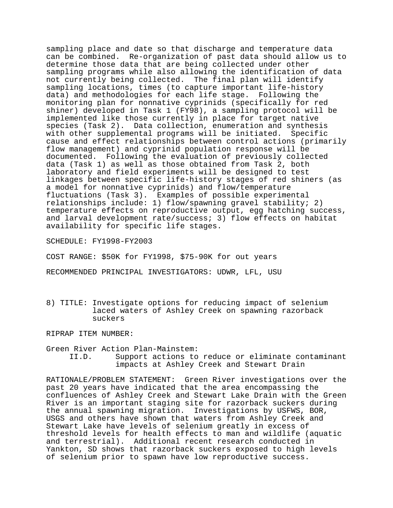sampling place and date so that discharge and temperature data can be combined. Re-organization of past data should allow us to determine those data that are being collected under other sampling programs while also allowing the identification of data not currently being collected. The final plan will identify sampling locations, times (to capture important life-history data) and methodologies for each life stage. Following the monitoring plan for nonnative cyprinids (specifically for red shiner) developed in Task 1 (FY98), a sampling protocol will be implemented like those currently in place for target native species (Task 2). Data collection, enumeration and synthesis with other supplemental programs will be initiated. Specific cause and effect relationships between control actions (primarily flow management) and cyprinid population response will be documented. Following the evaluation of previously collected data (Task 1) as well as those obtained from Task 2, both laboratory and field experiments will be designed to test linkages between specific life-history stages of red shiners (as a model for nonnative cyprinids) and flow/temperature fluctuations (Task 3). Examples of possible experimental relationships include: 1) flow/spawning gravel stability; 2) temperature effects on reproductive output, egg hatching success, and larval development rate/success; 3) flow effects on habitat availability for specific life stages.

SCHEDULE: FY1998-FY2003

COST RANGE: \$50K for FY1998, \$75-90K for out years

RECOMMENDED PRINCIPAL INVESTIGATORS: UDWR, LFL, USU

8) TITLE: Investigate options for reducing impact of selenium laced waters of Ashley Creek on spawning razorback suckers

RIPRAP ITEM NUMBER:

#### Green River Action Plan-Mainstem: II.D. Support actions to reduce or eliminate contaminant impacts at Ashley Creek and Stewart Drain

RATIONALE/PROBLEM STATEMENT: Green River investigations over the past 20 years have indicated that the area encompassing the confluences of Ashley Creek and Stewart Lake Drain with the Green River is an important staging site for razorback suckers during the annual spawning migration. Investigations by USFWS, BOR, USGS and others have shown that waters from Ashley Creek and Stewart Lake have levels of selenium greatly in excess of threshold levels for health effects to man and wildlife (aquatic and terrestrial). Additional recent research conducted in Yankton, SD shows that razorback suckers exposed to high levels of selenium prior to spawn have low reproductive success.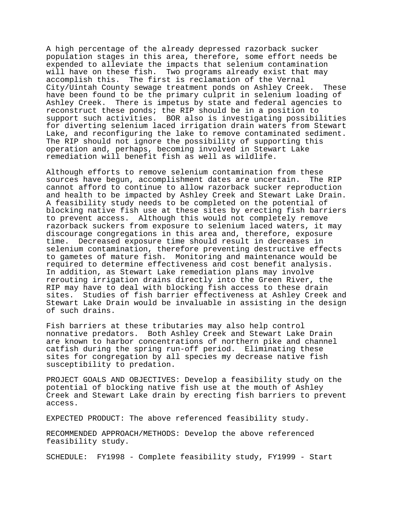A high percentage of the already depressed razorback sucker population stages in this area, therefore, some effort needs be expended to alleviate the impacts that selenium contamination will have on these fish. Two programs already exist that may accomplish this. The first is reclamation of the Vernal City/Uintah County sewage treatment ponds on Ashley Creek. These have been found to be the primary culprit in selenium loading of Ashley Creek. There is impetus by state and federal agencies to reconstruct these ponds; the RIP should be in a position to support such activities. BOR also is investigating possibilities for diverting selenium laced irrigation drain waters from Stewart Lake, and reconfiguring the lake to remove contaminated sediment. The RIP should not ignore the possibility of supporting this operation and, perhaps, becoming involved in Stewart Lake remediation will benefit fish as well as wildlife.

Although efforts to remove selenium contamination from these sources have begun, accomplishment dates are uncertain. The RIP cannot afford to continue to allow razorback sucker reproduction and health to be impacted by Ashley Creek and Stewart Lake Drain. A feasibility study needs to be completed on the potential of blocking native fish use at these sites by erecting fish barriers to prevent access. Although this would not completely remove razorback suckers from exposure to selenium laced waters, it may discourage congregations in this area and, therefore, exposure time. Decreased exposure time should result in decreases in selenium contamination, therefore preventing destructive effects to gametes of mature fish. Monitoring and maintenance would be required to determine effectiveness and cost benefit analysis. In addition, as Stewart Lake remediation plans may involve rerouting irrigation drains directly into the Green River, the RIP may have to deal with blocking fish access to these drain sites. Studies of fish barrier effectiveness at Ashley Creek and Stewart Lake Drain would be invaluable in assisting in the design of such drains.

Fish barriers at these tributaries may also help control nonnative predators. Both Ashley Creek and Stewart Lake Drain are known to harbor concentrations of northern pike and channel catfish during the spring run-off period. Eliminating these sites for congregation by all species my decrease native fish susceptibility to predation.

PROJECT GOALS AND OBJECTIVES: Develop a feasibility study on the potential of blocking native fish use at the mouth of Ashley Creek and Stewart Lake drain by erecting fish barriers to prevent access.

EXPECTED PRODUCT: The above referenced feasibility study.

RECOMMENDED APPROACH/METHODS: Develop the above referenced feasibility study.

SCHEDULE: FY1998 - Complete feasibility study, FY1999 - Start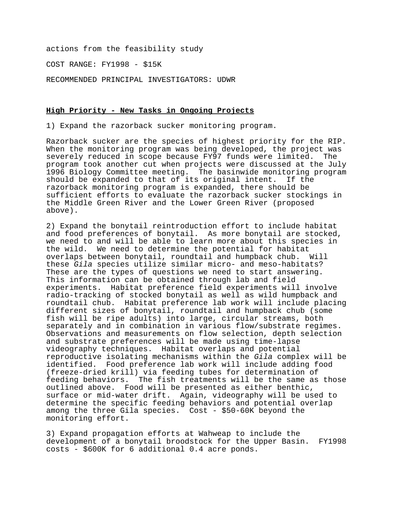actions from the feasibility study

COST RANGE: FY1998 - \$15K

RECOMMENDED PRINCIPAL INVESTIGATORS: UDWR

#### **High Priority - New Tasks in Ongoing Projects**

1) Expand the razorback sucker monitoring program.

Razorback sucker are the species of highest priority for the RIP. When the monitoring program was being developed, the project was severely reduced in scope because FY97 funds were limited. The program took another cut when projects were discussed at the July 1996 Biology Committee meeting. The basinwide monitoring program should be expanded to that of its original intent. If the razorback monitoring program is expanded, there should be sufficient efforts to evaluate the razorback sucker stockings in the Middle Green River and the Lower Green River (proposed above).

2) Expand the bonytail reintroduction effort to include habitat and food preferences of bonytail. As more bonytail are stocked, we need to and will be able to learn more about this species in the wild. We need to determine the potential for habitat overlaps between bonytail, roundtail and humpback chub. Will these *Gila* species utilize similar micro- and meso-habitats? These are the types of questions we need to start answering. This information can be obtained through lab and field experiments. Habitat preference field experiments will involve radio-tracking of stocked bonytail as well as wild humpback and roundtail chub. Habitat preference lab work will include placing different sizes of bonytail, roundtail and humpback chub (some fish will be ripe adults) into large, circular streams, both separately and in combination in various flow/substrate regimes. Observations and measurements on flow selection, depth selection and substrate preferences will be made using time-lapse videography techniques. Habitat overlaps and potential reproductive isolating mechanisms within the *Gila* complex will be identified. Food preference lab work will include adding food (freeze-dried krill) via feeding tubes for determination of feeding behaviors. The fish treatments will be the same as those outlined above. Food will be presented as either benthic, surface or mid-water drift. Again, videography will be used to determine the specific feeding behaviors and potential overlap among the three Gila species. Cost - \$50-60K beyond the monitoring effort.

3) Expand propagation efforts at Wahweap to include the development of a bonytail broodstock for the Upper Basin. FY1998 costs - \$600K for 6 additional 0.4 acre ponds.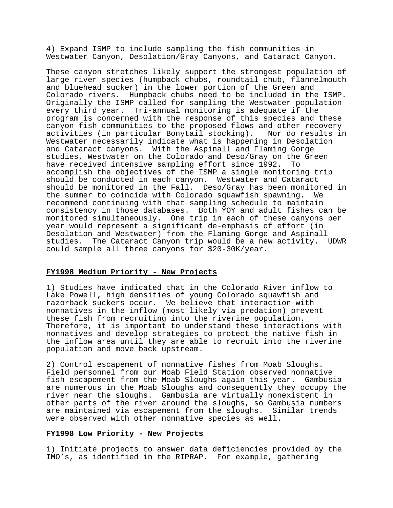4) Expand ISMP to include sampling the fish communities in Westwater Canyon, Desolation/Gray Canyons, and Cataract Canyon.

These canyon stretches likely support the strongest population of large river species (humpback chubs, roundtail chub, flannelmouth and bluehead sucker) in the lower portion of the Green and Colorado rivers. Humpback chubs need to be included in the ISMP. Originally the ISMP called for sampling the Westwater population every third year. Tri-annual monitoring is adequate if the program is concerned with the response of this species and these canyon fish communities to the proposed flows and other recovery activities (in particular Bonytail stocking). Nor do results in Westwater necessarily indicate what is happening in Desolation and Cataract canyons. With the Aspinall and Flaming Gorge studies, Westwater on the Colorado and Deso/Gray on the Green have received intensive sampling effort since 1992. To accomplish the objectives of the ISMP a single monitoring trip should be conducted in each canyon. Westwater and Cataract should be monitored in the Fall. Deso/Gray has been monitored in the summer to coincide with Colorado squawfish spawning. We recommend continuing with that sampling schedule to maintain consistency in those databases. Both YOY and adult fishes can be monitored simultaneously. One trip in each of these canyons per year would represent a significant de-emphasis of effort (in Desolation and Westwater) from the Flaming Gorge and Aspinall studies. The Cataract Canyon trip would be a new activity. UDWR could sample all three canyons for \$20-30K/year.

#### **FY1998 Medium Priority - New Projects**

1) Studies have indicated that in the Colorado River inflow to Lake Powell, high densities of young Colorado squawfish and razorback suckers occur. We believe that interaction with nonnatives in the inflow (most likely via predation) prevent these fish from recruiting into the riverine population. Therefore, it is important to understand these interactions with nonnatives and develop strategies to protect the native fish in the inflow area until they are able to recruit into the riverine population and move back upstream.

2) Control escapement of nonnative fishes from Moab Sloughs. Field personnel from our Moab Field Station observed nonnative fish escapement from the Moab Sloughs again this year. Gambusia are numerous in the Moab Sloughs and consequently they occupy the river near the sloughs. Gambusia are virtually nonexistent in other parts of the river around the sloughs, so Gambusia numbers are maintained via escapement from the sloughs. Similar trends were observed with other nonnative species as well.

## **FY1998 Low Priority - New Projects**

1) Initiate projects to answer data deficiencies provided by the IMO's, as identified in the RIPRAP. For example, gathering